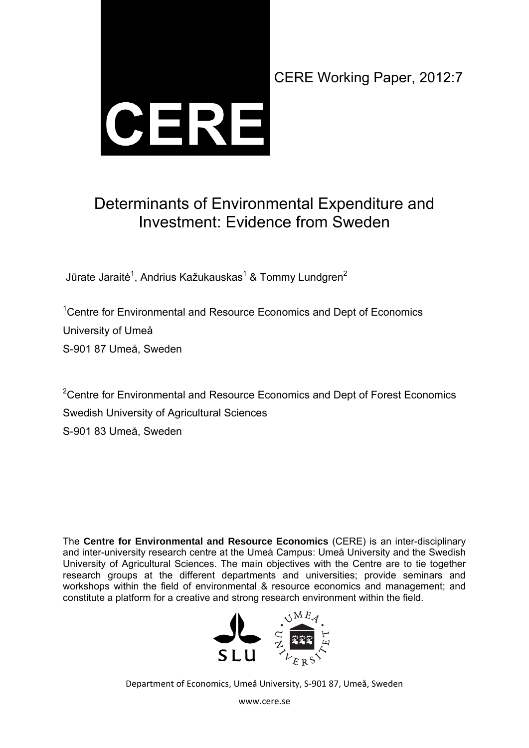

CERE Working Paper, 2012:7

# Determinants of Environmental Expenditure and Investment: Evidence from Sweden

Jūrate Jaraitė<sup>1</sup>, Andrius Kažukauskas<sup>1</sup> & Tommy Lundgren<sup>2</sup>

<sup>1</sup> Centre for Environmental and Resource Economics and Dept of Economics University of Umeå S-901 87 Umeå, Sweden

<sup>2</sup> Centre for Environmental and Resource Economics and Dept of Forest Economics Swedish University of Agricultural Sciences S-901 83 Umeå, Sweden

The **Centre for Environmental and Resource Economics** (CERE) is an inter-disciplinary and inter-university research centre at the Umeå Campus: Umeå University and the Swedish University of Agricultural Sciences. The main objectives with the Centre are to tie together research groups at the different departments and universities; provide seminars and workshops within the field of environmental & resource economics and management; and constitute a platform for a creative and strong research environment within the field.



Department of Economics, Umeå University, S‐901 87, Umeå, Sweden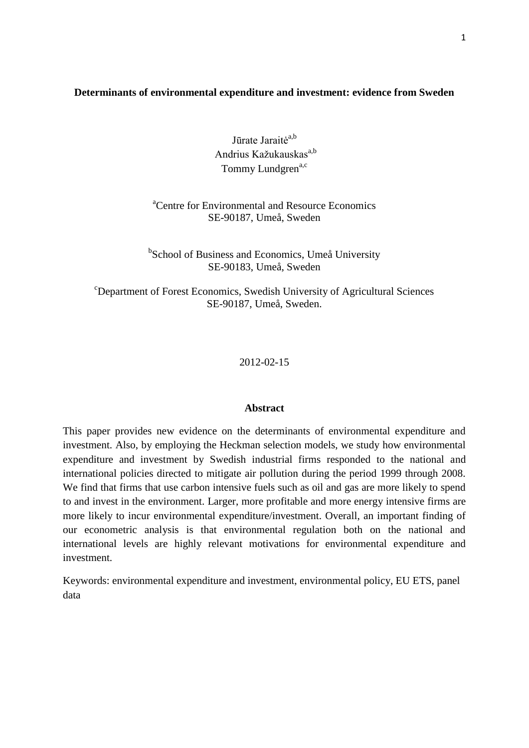# **Determinants of environmental expenditure and investment: evidence from Sweden**

Jūrate Jaraitė<sup>a,b</sup> Andrius Kažukauskas<sup>a,b</sup> Tommy Lundgren<sup>a,c</sup>

<sup>a</sup>Centre for Environmental and Resource Economics SE-90187, Umeå, Sweden

<sup>b</sup>School of Business and Economics, Umeå University SE-90183, Umeå, Sweden

<sup>c</sup>Department of Forest Economics, Swedish University of Agricultural Sciences SE-90187, Umeå, Sweden.

2012-02-15

#### **Abstract**

This paper provides new evidence on the determinants of environmental expenditure and investment. Also, by employing the Heckman selection models, we study how environmental expenditure and investment by Swedish industrial firms responded to the national and international policies directed to mitigate air pollution during the period 1999 through 2008. We find that firms that use carbon intensive fuels such as oil and gas are more likely to spend to and invest in the environment. Larger, more profitable and more energy intensive firms are more likely to incur environmental expenditure/investment. Overall, an important finding of our econometric analysis is that environmental regulation both on the national and international levels are highly relevant motivations for environmental expenditure and investment.

Keywords: environmental expenditure and investment, environmental policy, EU ETS, panel data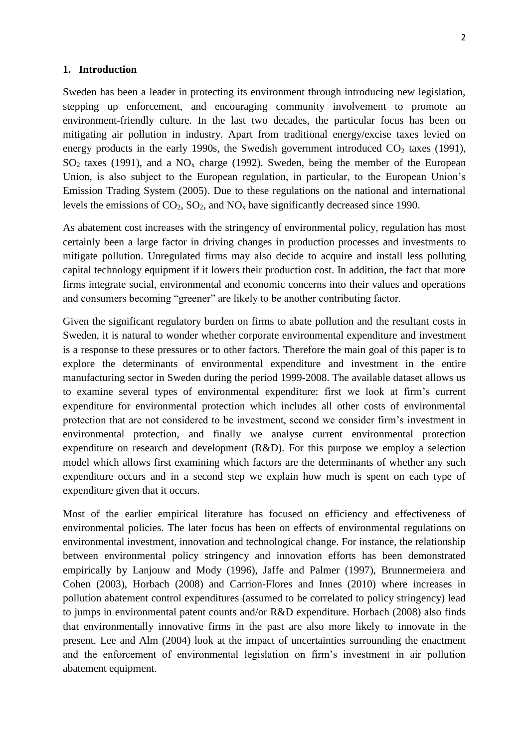#### **1. Introduction**

Sweden has been a leader in protecting its environment through introducing new legislation, stepping up enforcement, and encouraging community involvement to promote an environment-friendly culture. In the last two decades, the particular focus has been on mitigating air pollution in industry. Apart from traditional energy/excise taxes levied on energy products in the early 1990s, the Swedish government introduced  $CO<sub>2</sub>$  taxes (1991),  $SO_2$  taxes (1991), and a  $NO_x$  charge (1992). Sweden, being the member of the European Union, is also subject to the European regulation, in particular, to the European Union's Emission Trading System (2005). Due to these regulations on the national and international levels the emissions of  $CO_2$ ,  $SO_2$ , and  $NO_x$  have significantly decreased since 1990.

As abatement cost increases with the stringency of environmental policy, regulation has most certainly been a large factor in driving changes in production processes and investments to mitigate pollution. Unregulated firms may also decide to acquire and install less polluting capital technology equipment if it lowers their production cost. In addition, the fact that more firms integrate social, environmental and economic concerns into their values and operations and consumers becoming "greener" are likely to be another contributing factor.

Given the significant regulatory burden on firms to abate pollution and the resultant costs in Sweden, it is natural to wonder whether corporate environmental expenditure and investment is a response to these pressures or to other factors. Therefore the main goal of this paper is to explore the determinants of environmental expenditure and investment in the entire manufacturing sector in Sweden during the period 1999-2008. The available dataset allows us to examine several types of environmental expenditure: first we look at firm's current expenditure for environmental protection which includes all other costs of environmental protection that are not considered to be investment, second we consider firm's investment in environmental protection, and finally we analyse current environmental protection expenditure on research and development (R&D). For this purpose we employ a selection model which allows first examining which factors are the determinants of whether any such expenditure occurs and in a second step we explain how much is spent on each type of expenditure given that it occurs.

Most of the earlier empirical literature has focused on efficiency and effectiveness of environmental policies. The later focus has been on effects of environmental regulations on environmental investment, innovation and technological change. For instance, the relationship between environmental policy stringency and innovation efforts has been demonstrated empirically by [Lanjouw and Mody \(1996\)](#page-16-0), [Jaffe and Palmer \(1997\)](#page-16-1), [Brunnermeiera and](#page-16-2)  [Cohen \(2003\)](#page-16-2), [Horbach \(2008\)](#page-16-3) and [Carrion-Flores and Innes \(2010\)](#page-16-4) where increases in pollution abatement control expenditures (assumed to be correlated to policy stringency) lead to jumps in environmental patent counts and/or R&D expenditure. [Horbach \(2008\)](#page-16-5) also finds that environmentally innovative firms in the past are also more likely to innovate in the present. [Lee and Alm \(2004\)](#page-16-6) look at the impact of uncertainties surrounding the enactment and the enforcement of environmental legislation on firm's investment in air pollution abatement equipment.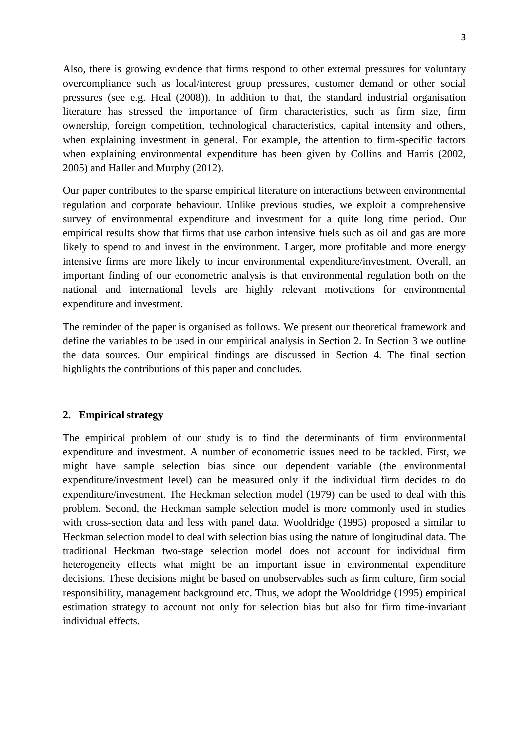Also, there is growing evidence that firms respond to other external pressures for voluntary overcompliance such as local/interest group pressures, customer demand or other social pressures (see e.g. [Heal \(2008\)](#page-16-7)). In addition to that, the standard industrial organisation literature has stressed the importance of firm characteristics, such as firm size, firm ownership, foreign competition, technological characteristics, capital intensity and others, when explaining investment in general. For example, the attention to firm-specific factors when explaining environmental expenditure has been given by Collins and Harris (2002,  $2005$ ) and Haller and Murphy  $(2012)$ .

Our paper contributes to the sparse empirical literature on interactions between environmental regulation and corporate behaviour. Unlike previous studies, we exploit a comprehensive survey of environmental expenditure and investment for a quite long time period. Our empirical results show that firms that use carbon intensive fuels such as oil and gas are more likely to spend to and invest in the environment. Larger, more profitable and more energy intensive firms are more likely to incur environmental expenditure/investment. Overall, an important finding of our econometric analysis is that environmental regulation both on the national and international levels are highly relevant motivations for environmental expenditure and investment.

The reminder of the paper is organised as follows. We present our theoretical framework and define the variables to be used in our empirical analysis in Section 2. In Section 3 we outline the data sources. Our empirical findings are discussed in Section 4. The final section highlights the contributions of this paper and concludes.

## **2. Empirical strategy**

The empirical problem of our study is to find the determinants of firm environmental expenditure and investment. A number of econometric issues need to be tackled. First, we might have sample selection bias since our dependent variable (the environmental expenditure/investment level) can be measured only if the individual firm decides to do expenditure/investment. The Heckman selection model [\(1979\)](#page-16-11) can be used to deal with this problem. Second, the Heckman sample selection model is more commonly used in studies with cross-section data and less with panel data. [Wooldridge \(1995\)](#page-16-12) proposed a similar to Heckman selection model to deal with selection bias using the nature of longitudinal data. The traditional Heckman two-stage selection model does not account for individual firm heterogeneity effects what might be an important issue in environmental expenditure decisions. These decisions might be based on unobservables such as firm culture, firm social responsibility, management background etc. Thus, we adopt the [Wooldridge \(1995\)](#page-16-1) empirical estimation strategy to account not only for selection bias but also for firm time-invariant individual effects.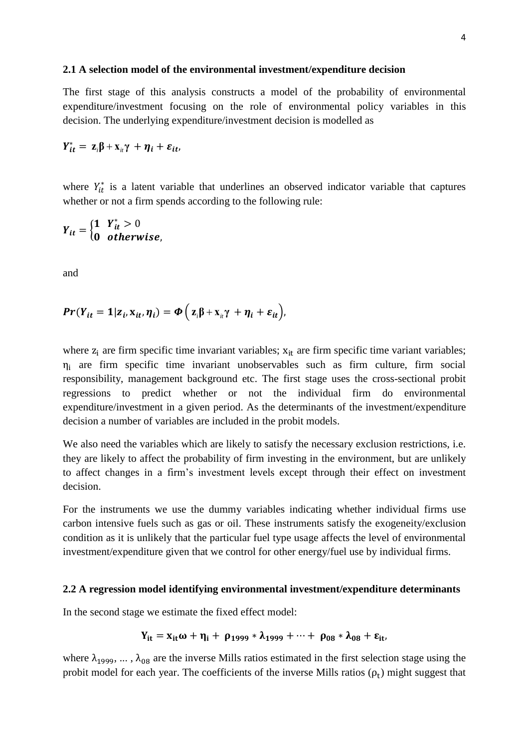#### **2.1 A selection model of the environmental investment/expenditure decision**

The first stage of this analysis constructs a model of the probability of environmental expenditure/investment focusing on the role of environmental policy variables in this decision. The underlying expenditure/investment decision is modelled as

$$
Y_{it}^* = z_i \beta + x_{it} \gamma + \eta_i + \varepsilon_{it},
$$

where  $Y_{it}^*$  is a latent variable that underlines an observed indicator variable that captures whether or not a firm spends according to the following rule:

$$
Y_{it} = \begin{cases} 1 & Y_{it}^* > 0 \\ 0 & \text{otherwise} \end{cases}
$$

and

$$
Pr(Y_{it} = 1 | z_i, x_{it}, \eta_i) = \Phi\left(z_i\beta + x_{it}\gamma + \eta_i + \varepsilon_{it}\right),
$$

where  $z_i$  are firm specific time invariant variables;  $x_{it}$  are firm specific time variant variables;  $\eta_i$  are firm specific time invariant unobservables such as firm culture, firm social responsibility, management background etc. The first stage uses the cross-sectional probit regressions to predict whether or not the individual firm do environmental expenditure/investment in a given period. As the determinants of the investment/expenditure decision a number of variables are included in the probit models.

We also need the variables which are likely to satisfy the necessary exclusion restrictions, i.e. they are likely to affect the probability of firm investing in the environment, but are unlikely to affect changes in a firm's investment levels except through their effect on investment decision.

For the instruments we use the dummy variables indicating whether individual firms use carbon intensive fuels such as gas or oil. These instruments satisfy the exogeneity/exclusion condition as it is unlikely that the particular fuel type usage affects the level of environmental investment/expenditure given that we control for other energy/fuel use by individual firms.

#### **2.2 A regression model identifying environmental investment/expenditure determinants**

In the second stage we estimate the fixed effect model:

$$
Y_{it} = x_{it}\omega + \eta_i + \rho_{1999} * \lambda_{1999} + \cdots + \rho_{08} * \lambda_{08} + \epsilon_{it}
$$

where  $\lambda_{1999}$ , ...,  $\lambda_{08}$  are the inverse Mills ratios estimated in the first selection stage using the probit model for each year. The coefficients of the inverse Mills ratios  $(\rho_t)$  might suggest that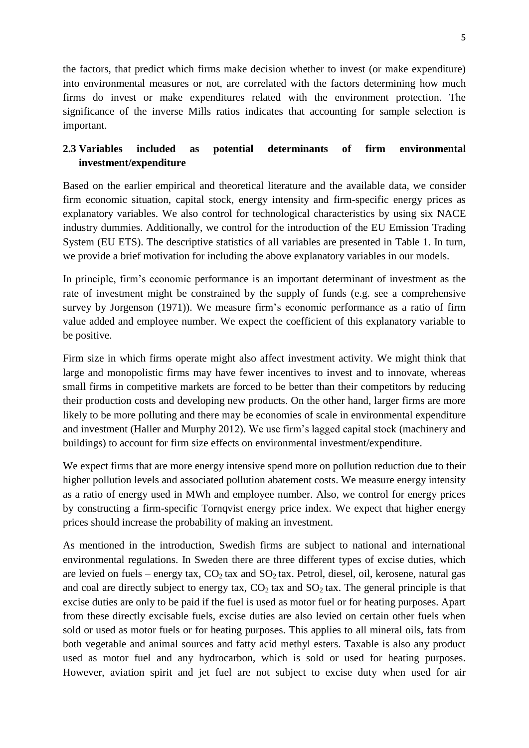the factors, that predict which firms make decision whether to invest (or make expenditure) into environmental measures or not, are correlated with the factors determining how much firms do invest or make expenditures related with the environment protection. The significance of the inverse Mills ratios indicates that accounting for sample selection is important.

# **2.3 Variables included as potential determinants of firm environmental investment/expenditure**

Based on the earlier empirical and theoretical literature and the available data, we consider firm economic situation, capital stock, energy intensity and firm-specific energy prices as explanatory variables. We also control for technological characteristics by using six NACE industry dummies. Additionally, we control for the introduction of the EU Emission Trading System (EU ETS). The descriptive statistics of all variables are presented in [Table 1.](#page-8-0) In turn, we provide a brief motivation for including the above explanatory variables in our models.

In principle, firm's economic performance is an important determinant of investment as the rate of investment might be constrained by the supply of funds (e.g. see a comprehensive survey by [Jorgenson \(1971\)](#page-16-13)). We measure firm's economic performance as a ratio of firm value added and employee number. We expect the coefficient of this explanatory variable to be positive.

Firm size in which firms operate might also affect investment activity. We might think that large and monopolistic firms may have fewer incentives to invest and to innovate, whereas small firms in competitive markets are forced to be better than their competitors by reducing their production costs and developing new products. On the other hand, larger firms are more likely to be more polluting and there may be economies of scale in environmental expenditure and investment [\(Haller and Murphy 2012\)](#page-16-8). We use firm's lagged capital stock (machinery and buildings) to account for firm size effects on environmental investment/expenditure.

We expect firms that are more energy intensive spend more on pollution reduction due to their higher pollution levels and associated pollution abatement costs. We measure energy intensity as a ratio of energy used in MWh and employee number. Also, we control for energy prices by constructing a firm-specific Tornqvist energy price index. We expect that higher energy prices should increase the probability of making an investment.

As mentioned in the introduction, Swedish firms are subject to national and international environmental regulations. In Sweden there are three different types of excise duties, which are levied on fuels – energy tax,  $CO_2$  tax and  $SO_2$  tax. Petrol, diesel, oil, kerosene, natural gas and coal are directly subject to energy tax,  $CO<sub>2</sub>$  tax and  $SO<sub>2</sub>$  tax. The general principle is that excise duties are only to be paid if the fuel is used as motor fuel or for heating purposes. Apart from these directly excisable fuels, excise duties are also levied on certain other fuels when sold or used as motor fuels or for heating purposes. This applies to all mineral oils, fats from both vegetable and animal sources and fatty acid methyl esters. Taxable is also any product used as motor fuel and any hydrocarbon, which is sold or used for heating purposes. However, aviation spirit and jet fuel are not subject to excise duty when used for air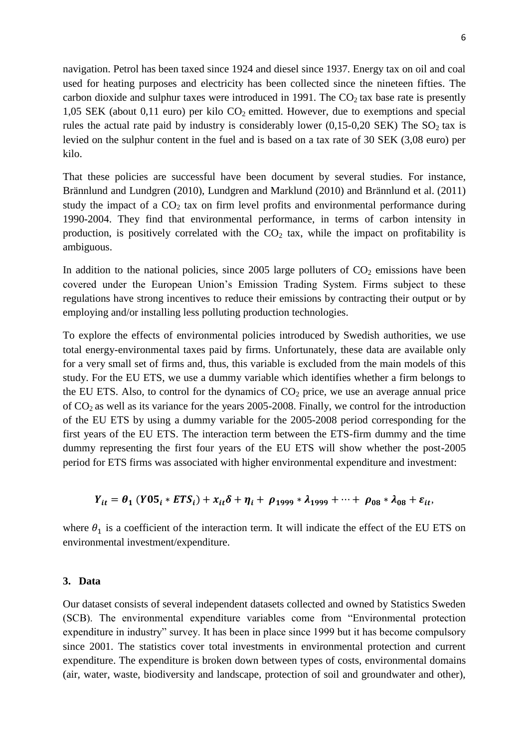navigation. Petrol has been taxed since 1924 and diesel since 1937. Energy tax on oil and coal used for heating purposes and electricity has been collected since the nineteen fifties. The carbon dioxide and sulphur taxes were introduced in 1991. The  $CO<sub>2</sub>$  tax base rate is presently 1,05 SEK (about 0,11 euro) per kilo  $CO<sub>2</sub>$  emitted. However, due to exemptions and special rules the actual rate paid by industry is considerably lower  $(0,15-0,20$  SEK) The SO<sub>2</sub> tax is levied on the sulphur content in the fuel and is based on a tax rate of 30 SEK (3,08 euro) per kilo.

That these policies are successful have been document by several studies. For instance, [Brännlund and Lundgren \(2010\)](#page-16-5), [Lundgren and Marklund \(2010\)](#page-16-14) and [Brännlund et al. \(2011\)](#page-16-15) study the impact of a  $CO<sub>2</sub>$  tax on firm level profits and environmental performance during 1990-2004. They find that environmental performance, in terms of carbon intensity in production, is positively correlated with the  $CO<sub>2</sub>$  tax, while the impact on profitability is ambiguous.

In addition to the national policies, since 2005 large polluters of  $CO<sub>2</sub>$  emissions have been covered under the European Union's Emission Trading System. Firms subject to these regulations have strong incentives to reduce their emissions by contracting their output or by employing and/or installing less polluting production technologies.

To explore the effects of environmental policies introduced by Swedish authorities, we use total energy-environmental taxes paid by firms. Unfortunately, these data are available only for a very small set of firms and, thus, this variable is excluded from the main models of this study. For the EU ETS, we use a dummy variable which identifies whether a firm belongs to the EU ETS. Also, to control for the dynamics of  $CO<sub>2</sub>$  price, we use an average annual price of  $CO<sub>2</sub>$  as well as its variance for the years 2005-2008. Finally, we control for the introduction of the EU ETS by using a dummy variable for the 2005-2008 period corresponding for the first years of the EU ETS. The interaction term between the ETS-firm dummy and the time dummy representing the first four years of the EU ETS will show whether the post-2005 period for ETS firms was associated with higher environmental expenditure and investment:

$$
Y_{it} = \theta_1 (Y05_i * ETS_i) + x_{it}\delta + \eta_i + \rho_{1999} * \lambda_{1999} + \cdots + \rho_{08} * \lambda_{08} + \varepsilon_{it},
$$

where  $\theta_1$  is a coefficient of the interaction term. It will indicate the effect of the EU ETS on environmental investment/expenditure.

#### **3. Data**

Our dataset consists of several independent datasets collected and owned by Statistics Sweden (SCB). The environmental expenditure variables come from "Environmental protection expenditure in industry" survey. It has been in place since 1999 but it has become compulsory since 2001. The statistics cover total investments in environmental protection and current expenditure. The expenditure is broken down between types of costs, environmental domains (air, water, waste, biodiversity and landscape, protection of soil and groundwater and other),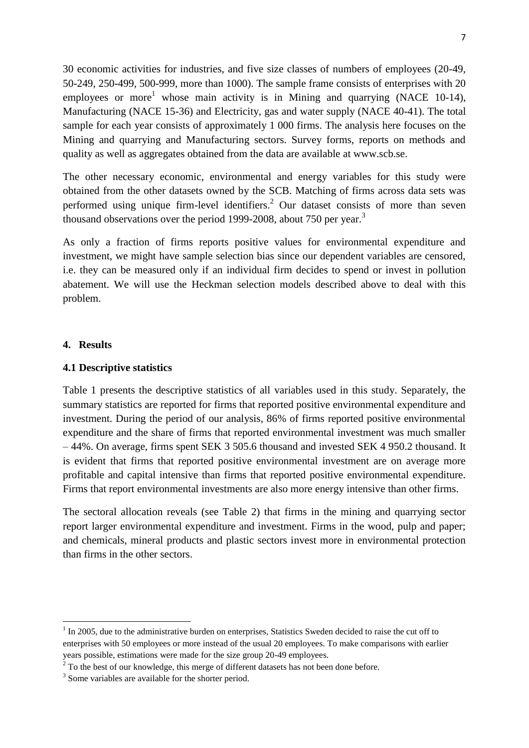30 economic activities for industries, and five size classes of numbers of employees (20-49, 50-249, 250-499, 500-999, more than 1000). The sample frame consists of enterprises with 20 employees or more<sup>1</sup> whose main activity is in Mining and quarrying (NACE 10-14), Manufacturing (NACE 15-36) and Electricity, gas and water supply (NACE 40-41). The total sample for each year consists of approximately 1 000 firms. The analysis here focuses on the Mining and quarrying and Manufacturing sectors. Survey forms, reports on methods and quality as well as aggregates obtained from the data are available at www.scb.se.

The other necessary economic, environmental and energy variables for this study were obtained from the other datasets owned by the SCB. Matching of firms across data sets was performed using unique firm-level identifiers.<sup>2</sup> Our dataset consists of more than seven thousand observations over the period 1999-2008, about 750 per year.<sup>3</sup>

As only a fraction of firms reports positive values for environmental expenditure and investment, we might have sample selection bias since our dependent variables are censored, i.e. they can be measured only if an individual firm decides to spend or invest in pollution abatement. We will use the Heckman selection models described above to deal with this problem.

### **4. Results**

1

#### **4.1 Descriptive statistics**

[Table 1](#page-8-0) presents the descriptive statistics of all variables used in this study. Separately, the summary statistics are reported for firms that reported positive environmental expenditure and investment. During the period of our analysis, 86% of firms reported positive environmental expenditure and the share of firms that reported environmental investment was much smaller – 44%. On average, firms spent SEK 3 505.6 thousand and invested SEK 4 950.2 thousand. It is evident that firms that reported positive environmental investment are on average more profitable and capital intensive than firms that reported positive environmental expenditure. Firms that report environmental investments are also more energy intensive than other firms.

The sectoral allocation reveals (see [Table 2\)](#page-9-0) that firms in the mining and quarrying sector report larger environmental expenditure and investment. Firms in the wood, pulp and paper; and chemicals, mineral products and plastic sectors invest more in environmental protection than firms in the other sectors.

<sup>&</sup>lt;sup>1</sup> In 2005, due to the administrative burden on enterprises, Statistics Sweden decided to raise the cut off to enterprises with 50 employees or more instead of the usual 20 employees. To make comparisons with earlier years possible, estimations were made for the size group 20-49 employees.

 $2^{2}$  To the best of our knowledge, this merge of different datasets has not been done before.

<sup>&</sup>lt;sup>3</sup> Some variables are available for the shorter period.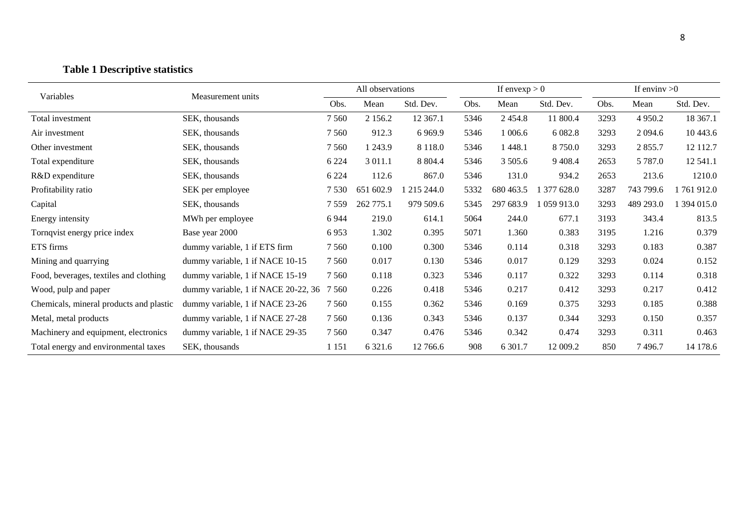# **Table 1 Descriptive statistics**

<span id="page-8-0"></span>

|                                         |                                     | All observations |            |            | If envexp $> 0$ |            |             | If enviny $>0$ |            |             |
|-----------------------------------------|-------------------------------------|------------------|------------|------------|-----------------|------------|-------------|----------------|------------|-------------|
| Variables                               | Measurement units                   | Obs.             | Mean       | Std. Dev.  | Obs.            | Mean       | Std. Dev.   | Obs.           | Mean       | Std. Dev.   |
| Total investment                        | SEK, thousands                      | 7 5 6 0          | 2 1 5 6 .2 | 12 367.1   | 5346            | 2 4 5 4.8  | 11 800.4    | 3293           | 4 9 5 0.2  | 18 367.1    |
| Air investment                          | SEK, thousands                      | 7 5 6 0          | 912.3      | 6 9 6 9.9  | 5346            | 1 006.6    | 6 0 8 2.8   | 3293           | 2 0 9 4.6  | 10 443.6    |
| Other investment                        | SEK, thousands                      | 7 5 6 0          | 1 243.9    | 8 1 1 8 .0 | 5346            | 1 4 4 8 .1 | 8750.0      | 3293           | 2855.7     | 12 112.7    |
| Total expenditure                       | SEK, thousands                      | 6 2 2 4          | 3 011.1    | 8 8 0 4.4  | 5346            | 3 505.6    | 9 4 0 8.4   | 2653           | 5 7 8 7 .0 | 12 541.1    |
| R&D expenditure                         | SEK, thousands                      | 6 2 2 4          | 112.6      | 867.0      | 5346            | 131.0      | 934.2       | 2653           | 213.6      | 1210.0      |
| Profitability ratio                     | SEK per employee                    | 7 5 3 0          | 651 602.9  | 215 244.0  | 5332            | 680 463.5  | 1 377 628.0 | 3287           | 743 799.6  | 1761912.0   |
| Capital                                 | SEK, thousands                      | 7559             | 262 775.1  | 979 509.6  | 5345            | 297 683.9  | 1 059 913.0 | 3293           | 489 293.0  | 1 394 015.0 |
| Energy intensity                        | MWh per employee                    | 6 9 4 4          | 219.0      | 614.1      | 5064            | 244.0      | 677.1       | 3193           | 343.4      | 813.5       |
| Tornqvist energy price index            | Base year 2000                      | 6953             | 1.302      | 0.395      | 5071            | 1.360      | 0.383       | 3195           | 1.216      | 0.379       |
| ETS firms                               | dummy variable, 1 if ETS firm       | 7 5 6 0          | 0.100      | 0.300      | 5346            | 0.114      | 0.318       | 3293           | 0.183      | 0.387       |
| Mining and quarrying                    | dummy variable, 1 if NACE 10-15     | 7 5 6 0          | 0.017      | 0.130      | 5346            | 0.017      | 0.129       | 3293           | 0.024      | 0.152       |
| Food, beverages, textiles and clothing  | dummy variable, 1 if NACE 15-19     | 7 5 6 0          | 0.118      | 0.323      | 5346            | 0.117      | 0.322       | 3293           | 0.114      | 0.318       |
| Wood, pulp and paper                    | dummy variable, 1 if NACE 20-22, 36 | 7 5 6 0          | 0.226      | 0.418      | 5346            | 0.217      | 0.412       | 3293           | 0.217      | 0.412       |
| Chemicals, mineral products and plastic | dummy variable, 1 if NACE 23-26     | 7 5 6 0          | 0.155      | 0.362      | 5346            | 0.169      | 0.375       | 3293           | 0.185      | 0.388       |
| Metal, metal products                   | dummy variable, 1 if NACE 27-28     | 7 5 6 0          | 0.136      | 0.343      | 5346            | 0.137      | 0.344       | 3293           | 0.150      | 0.357       |
| Machinery and equipment, electronics    | dummy variable, 1 if NACE 29-35     | 7 5 6 0          | 0.347      | 0.476      | 5346            | 0.342      | 0.474       | 3293           | 0.311      | 0.463       |
| Total energy and environmental taxes    | SEK, thousands                      | 1 1 5 1          | 6 3 2 1.6  | 12 766.6   | 908             | 6 3 0 1.7  | 12 009.2    | 850            | 7496.7     | 14 178.6    |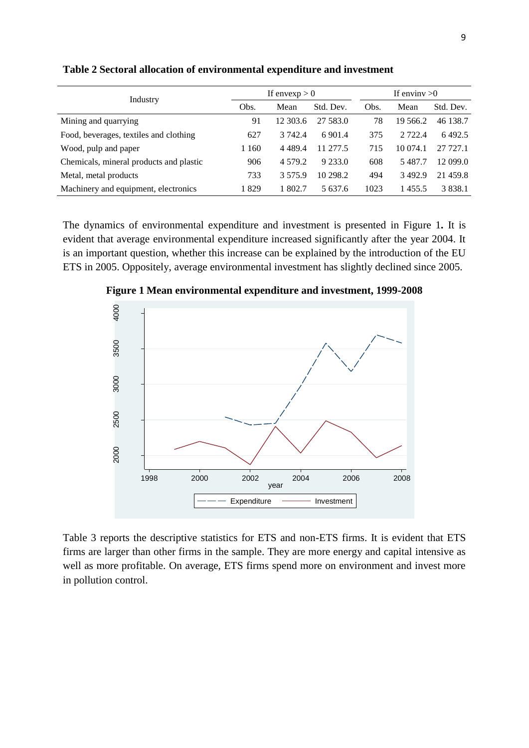| Industry                                |       | If envexp $> 0$ |            |      | If enviny $>0$ |           |  |  |
|-----------------------------------------|-------|-----------------|------------|------|----------------|-----------|--|--|
|                                         | Obs.  | Mean            | Std. Dev.  | Obs. | Mean           | Std. Dev. |  |  |
| Mining and quarrying                    | 91    | 12 303.6        | 27 583.0   | 78   | 19 566.2       | 46 138.7  |  |  |
| Food, beverages, textiles and clothing  | 627   | 3 742.4         | 6 9 0 1.4  | 375  | 2 7 2 2.4      | 6492.5    |  |  |
| Wood, pulp and paper                    | 1 160 | 4 4 8 9 . 4     | 11 277.5   | 715  | 10 074.1       | 27 727.1  |  |  |
| Chemicals, mineral products and plastic | 906   | 4 5 7 9 . 2     | 9 2 3 3 .0 | 608  | 5487.7         | 12 099.0  |  |  |
| Metal, metal products                   | 733   | 3 5 7 5 .9      | 10 298.2   | 494  | 3492.9         | 21 459.8  |  |  |
| Machinery and equipment, electronics    | 1829  | 1 802.7         | 5 637.6    | 1023 | 1455.5         | 3 8 3 8 1 |  |  |

<span id="page-9-0"></span>**Table 2 Sectoral allocation of environmental expenditure and investment**

The dynamics of environmental expenditure and investment is presented in [Figure 1](#page-9-1)**.** It is evident that average environmental expenditure increased significantly after the year 2004. It is an important question, whether this increase can be explained by the introduction of the EU ETS in 2005. Oppositely, average environmental investment has slightly declined since 2005.



<span id="page-9-1"></span>**Figure 1 Mean environmental expenditure and investment, 1999-2008**

[Table 3](#page-10-0) reports the descriptive statistics for ETS and non-ETS firms. It is evident that ETS firms are larger than other firms in the sample. They are more energy and capital intensive as well as more profitable. On average, ETS firms spend more on environment and invest more in pollution control.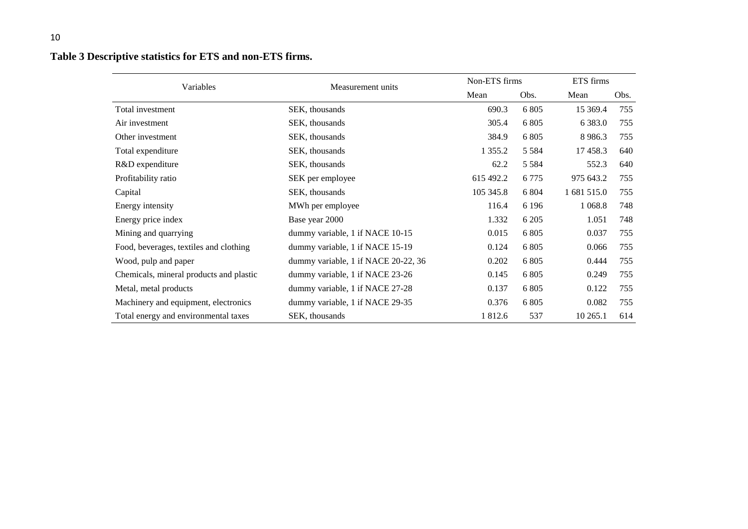|  |  |  |  |  |  |  |  |  |  | Table 3 Descriptive statistics for ETS and non-ETS firms. |  |
|--|--|--|--|--|--|--|--|--|--|-----------------------------------------------------------|--|
|--|--|--|--|--|--|--|--|--|--|-----------------------------------------------------------|--|

<span id="page-10-0"></span>

| Variables                               | Measurement units                   | Non-ETS firms |         |             | ETS firms |  |
|-----------------------------------------|-------------------------------------|---------------|---------|-------------|-----------|--|
|                                         |                                     | Mean          | Obs.    | Mean        | Obs.      |  |
| Total investment                        | SEK, thousands                      | 690.3         | 6 8 0 5 | 15 369.4    | 755       |  |
| Air investment                          | SEK, thousands                      | 305.4         | 6 8 0 5 | 6 3 8 3 .0  | 755       |  |
| Other investment                        | SEK, thousands                      | 384.9         | 6 8 0 5 | 8 9 8 6.3   | 755       |  |
| Total expenditure                       | SEK, thousands                      | 1 3 5 5 .2    | 5 5 8 4 | 17 458.3    | 640       |  |
| R&D expenditure                         | SEK, thousands                      | 62.2          | 5 5 8 4 | 552.3       | 640       |  |
| Profitability ratio                     | SEK per employee                    | 615 492.2     | 6 7 7 5 | 975 643.2   | 755       |  |
| Capital                                 | SEK, thousands                      | 105 345.8     | 6 8 0 4 | 1 681 515.0 | 755       |  |
| Energy intensity                        | MWh per employee                    | 116.4         | 6 1 9 6 | 1 0 68.8    | 748       |  |
| Energy price index                      | Base year 2000                      | 1.332         | 6 2 0 5 | 1.051       | 748       |  |
| Mining and quarrying                    | dummy variable, 1 if NACE 10-15     | 0.015         | 6 8 0 5 | 0.037       | 755       |  |
| Food, beverages, textiles and clothing  | dummy variable, 1 if NACE 15-19     | 0.124         | 6 8 0 5 | 0.066       | 755       |  |
| Wood, pulp and paper                    | dummy variable, 1 if NACE 20-22, 36 | 0.202         | 6 8 0 5 | 0.444       | 755       |  |
| Chemicals, mineral products and plastic | dummy variable, 1 if NACE 23-26     | 0.145         | 6 8 0 5 | 0.249       | 755       |  |
| Metal, metal products                   | dummy variable, 1 if NACE 27-28     | 0.137         | 6 8 0 5 | 0.122       | 755       |  |
| Machinery and equipment, electronics    | dummy variable, 1 if NACE 29-35     | 0.376         | 6 8 0 5 | 0.082       | 755       |  |
| Total energy and environmental taxes    | SEK, thousands                      | 1 812.6       | 537     | 10 265.1    | 614       |  |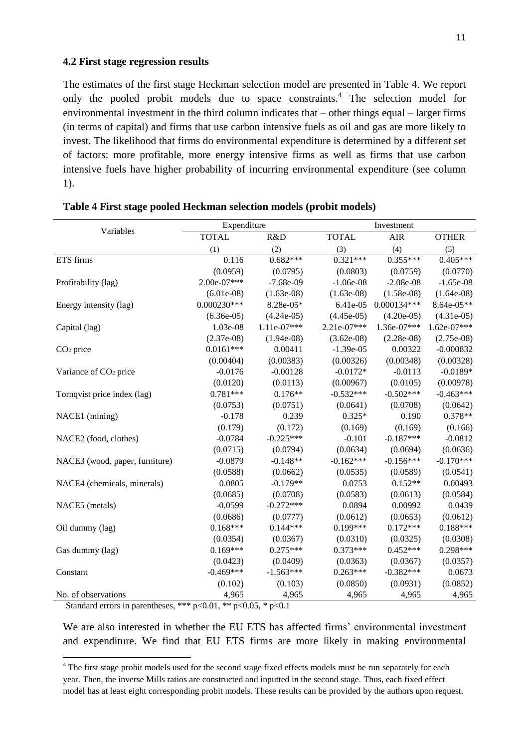#### **4.2 First stage regression results**

The estimates of the first stage Heckman selection model are presented in Table 4. We report only the pooled probit models due to space constraints.<sup>4</sup> The selection model for environmental investment in the third column indicates that – other things equal – larger firms (in terms of capital) and firms that use carbon intensive fuels as oil and gas are more likely to invest. The likelihood that firms do environmental expenditure is determined by a different set of factors: more profitable, more energy intensive firms as well as firms that use carbon intensive fuels have higher probability of incurring environmental expenditure (see column 1).

| Variables                         | Expenditure   |               | Investment    |               |               |  |
|-----------------------------------|---------------|---------------|---------------|---------------|---------------|--|
|                                   | <b>TOTAL</b>  | R&D           | <b>TOTAL</b>  | <b>AIR</b>    | <b>OTHER</b>  |  |
|                                   | (1)           | (2)           | (3)           | (4)           | (5)           |  |
| ETS firms                         | 0.116         | $0.682***$    | $0.321***$    | $0.355***$    | $0.405***$    |  |
|                                   | (0.0959)      | (0.0795)      | (0.0803)      | (0.0759)      | (0.0770)      |  |
| Profitability (lag)               | 2.00e-07***   | $-7.68e-09$   | $-1.06e-08$   | $-2.08e-08$   | $-1.65e-08$   |  |
|                                   | $(6.01e-08)$  | $(1.63e-08)$  | $(1.63e-08)$  | $(1.58e-08)$  | $(1.64e-08)$  |  |
| Energy intensity (lag)            | $0.000230***$ | 8.28e-05*     | 6.41e-05      | $0.000134***$ | 8.64e-05**    |  |
|                                   | $(6.36e-05)$  | $(4.24e-05)$  | $(4.45e-05)$  | $(4.20e-05)$  | $(4.31e-05)$  |  |
| Capital (lag)                     | 1.03e-08      | $1.11e-07***$ | $2.21e-07***$ | 1.36e-07***   | 1.62e-07***   |  |
|                                   | $(2.37e-0.8)$ | $(1.94e-08)$  | $(3.62e-08)$  | $(2.28e-08)$  | $(2.75e-0.8)$ |  |
| $CO2$ price                       | $0.0161***$   | 0.00411       | $-1.39e-05$   | 0.00322       | $-0.000832$   |  |
|                                   | (0.00404)     | (0.00383)     | (0.00326)     | (0.00348)     | (0.00328)     |  |
| Variance of CO <sub>2</sub> price | $-0.0176$     | $-0.00128$    | $-0.0172*$    | $-0.0113$     | $-0.0189*$    |  |
|                                   | (0.0120)      | (0.0113)      | (0.00967)     | (0.0105)      | (0.00978)     |  |
| Tornqvist price index (lag)       | $0.781***$    | $0.176**$     | $-0.532***$   | $-0.502***$   | $-0.463***$   |  |
|                                   | (0.0753)      | (0.0751)      | (0.0641)      | (0.0708)      | (0.0642)      |  |
| NACE1 (mining)                    | $-0.178$      | 0.239         | $0.325*$      | 0.190         | $0.378**$     |  |
|                                   | (0.179)       | (0.172)       | (0.169)       | (0.169)       | (0.166)       |  |
| NACE2 (food, clothes)             | $-0.0784$     | $-0.225***$   | $-0.101$      | $-0.187***$   | $-0.0812$     |  |
|                                   | (0.0715)      | (0.0794)      | (0.0634)      | (0.0694)      | (0.0636)      |  |
| NACE3 (wood, paper, furniture)    | $-0.0879$     | $-0.148**$    | $-0.162***$   | $-0.156***$   | $-0.170***$   |  |
|                                   | (0.0588)      | (0.0662)      | (0.0535)      | (0.0589)      | (0.0541)      |  |
| NACE4 (chemicals, minerals)       | 0.0805        | $-0.179**$    | 0.0753        | $0.152**$     | 0.00493       |  |
|                                   | (0.0685)      | (0.0708)      | (0.0583)      | (0.0613)      | (0.0584)      |  |
| NACE5 (metals)                    | $-0.0599$     | $-0.272***$   | 0.0894        | 0.00992       | 0.0439        |  |
|                                   | (0.0686)      | (0.0777)      | (0.0612)      | (0.0653)      | (0.0612)      |  |
| Oil dummy (lag)                   | $0.168***$    | $0.144***$    | $0.199***$    | $0.172***$    | $0.188***$    |  |
|                                   | (0.0354)      | (0.0367)      | (0.0310)      | (0.0325)      | (0.0308)      |  |
| Gas dummy (lag)                   | $0.169***$    | $0.275***$    | $0.373***$    | $0.452***$    | $0.298***$    |  |
|                                   | (0.0423)      | (0.0409)      | (0.0363)      | (0.0367)      | (0.0357)      |  |
| Constant                          | $-0.469***$   | $-1.563***$   | $0.263***$    | $-0.382***$   | 0.0673        |  |
|                                   | (0.102)       | (0.103)       | (0.0850)      | (0.0931)      | (0.0852)      |  |
| No. of observations               | 4,965         | 4,965         | 4,965         | 4,965         | 4,965         |  |

#### **Table 4 First stage pooled Heckman selection models (probit models)**

Standard errors in parentheses, \*\*\*  $p<0.01$ , \*\*  $p<0.05$ , \*  $p<0.1$ 

 $\overline{a}$ 

We are also interested in whether the EU ETS has affected firms' environmental investment and expenditure. We find that EU ETS firms are more likely in making environmental

<sup>&</sup>lt;sup>4</sup> The first stage probit models used for the second stage fixed effects models must be run separately for each year. Then, the inverse Mills ratios are constructed and inputted in the second stage. Thus, each fixed effect model has at least eight corresponding probit models. These results can be provided by the authors upon request.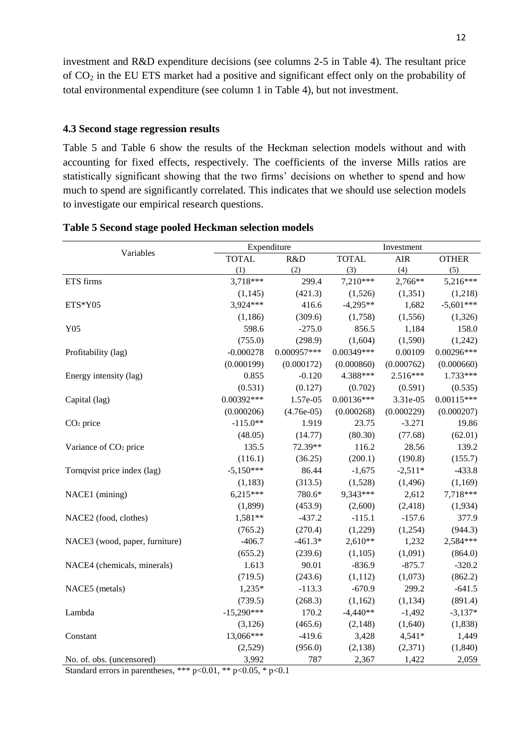investment and R&D expenditure decisions (see columns 2-5 in Table 4). The resultant price of  $CO<sub>2</sub>$  in the EU ETS market had a positive and significant effect only on the probability of total environmental expenditure (see column 1 in Table 4), but not investment.

#### **4.3 Second stage regression results**

[Table 5](#page-12-0) and [Table 6](#page-13-0) show the results of the Heckman selection models without and with accounting for fixed effects, respectively. The coefficients of the inverse Mills ratios are statistically significant showing that the two firms' decisions on whether to spend and how much to spend are significantly correlated. This indicates that we should use selection models to investigate our empirical research questions.

| Variables                         |              | Expenditure   | Investment   |            |              |  |
|-----------------------------------|--------------|---------------|--------------|------------|--------------|--|
|                                   | <b>TOTAL</b> | R&D           | <b>TOTAL</b> | <b>AIR</b> | <b>OTHER</b> |  |
|                                   | (1)          | (2)           | (3)          | (4)        | (5)          |  |
| ETS firms                         | 3,718***     | 299.4         | 7,210***     | 2,766**    | 5,216***     |  |
|                                   | (1, 145)     | (421.3)       | (1,526)      | (1, 351)   | (1,218)      |  |
| ETS*Y05                           | 3,924***     | 416.6         | $-4,295**$   | 1,682      | $-5,601***$  |  |
|                                   | (1, 186)     | (309.6)       | (1,758)      | (1,556)    | (1,326)      |  |
| Y05                               | 598.6        | $-275.0$      | 856.5        | 1,184      | 158.0        |  |
|                                   | (755.0)      | (298.9)       | (1,604)      | (1,590)    | (1,242)      |  |
| Profitability (lag)               | $-0.000278$  | $0.000957***$ | 0.00349***   | 0.00109    | $0.00296***$ |  |
|                                   | (0.000199)   | (0.000172)    | (0.000860)   | (0.000762) | (0.000660)   |  |
| Energy intensity (lag)            | 0.855        | $-0.120$      | 4.388***     | 2.516***   | 1.733***     |  |
|                                   | (0.531)      | (0.127)       | (0.702)      | (0.591)    | (0.535)      |  |
| Capital (lag)                     | $0.00392***$ | 1.57e-05      | $0.00136***$ | 3.31e-05   | $0.00115***$ |  |
|                                   | (0.000206)   | $(4.76e-05)$  | (0.000268)   | (0.000229) | (0.000207)   |  |
| CO <sub>2</sub> price             | $-115.0**$   | 1.919         | 23.75        | $-3.271$   | 19.86        |  |
|                                   | (48.05)      | (14.77)       | (80.30)      | (77.68)    | (62.01)      |  |
| Variance of CO <sub>2</sub> price | 135.5        | 72.39**       | 116.2        | 28.56      | 139.2        |  |
|                                   | (116.1)      | (36.25)       | (200.1)      | (190.8)    | (155.7)      |  |
| Tornqvist price index (lag)       | $-5,150***$  | 86.44         | $-1,675$     | $-2,511*$  | $-433.8$     |  |
|                                   | (1, 183)     | (313.5)       | (1,528)      | (1, 496)   | (1, 169)     |  |
| NACE1 (mining)                    | $6,215***$   | 780.6*        | 9,343***     | 2,612      | 7,718***     |  |
|                                   | (1,899)      | (453.9)       | (2,600)      | (2, 418)   | (1,934)      |  |
| NACE2 (food, clothes)             | 1,581**      | $-437.2$      | $-115.1$     | $-157.6$   | 377.9        |  |
|                                   | (765.2)      | (270.4)       | (1,229)      | (1,254)    | (944.3)      |  |
| NACE3 (wood, paper, furniture)    | $-406.7$     | $-461.3*$     | $2,610**$    | 1,232      | 2,584***     |  |
|                                   | (655.2)      | (239.6)       | (1,105)      | (1,091)    | (864.0)      |  |
| NACE4 (chemicals, minerals)       | 1.613        | 90.01         | $-836.9$     | $-875.7$   | $-320.2$     |  |
|                                   | (719.5)      | (243.6)       | (1, 112)     | (1,073)    | (862.2)      |  |
| NACE5 (metals)                    | $1,235*$     | $-113.3$      | $-670.9$     | 299.2      | $-641.5$     |  |
|                                   | (739.5)      | (268.3)       | (1,162)      | (1, 134)   | (891.4)      |  |
| Lambda                            | $-15,290***$ | 170.2         | $-4,440**$   | $-1,492$   | $-3,137*$    |  |
|                                   | (3,126)      | (465.6)       | (2,148)      | (1,640)    | (1,838)      |  |
| Constant                          | 13,066***    | $-419.6$      | 3,428        | $4,541*$   | 1,449        |  |
|                                   | (2,529)      | (956.0)       | (2, 138)     | (2,371)    | (1, 840)     |  |
| No. of. obs. (uncensored)         | 3,992        | 787           | 2,367        | 1,422      | 2,059        |  |

<span id="page-12-0"></span>**Table 5 Second stage pooled Heckman selection models**

Standard errors in parentheses, \*\*\* p<0.01, \*\* p<0.05, \* p<0.1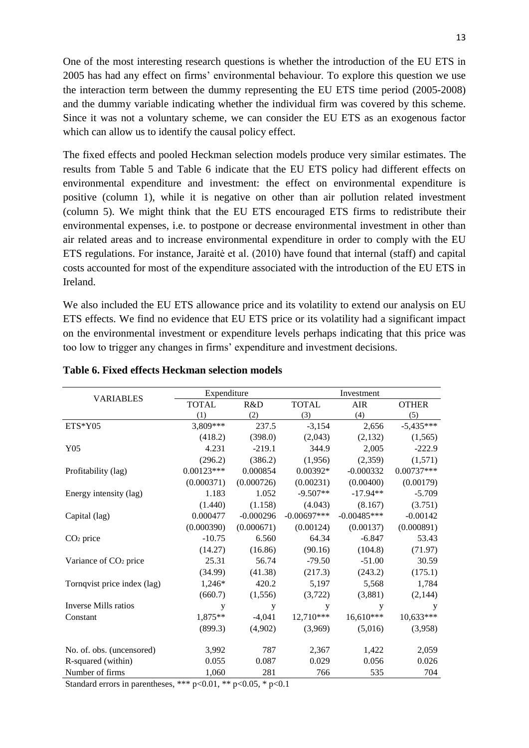One of the most interesting research questions is whether the introduction of the EU ETS in 2005 has had any effect on firms' environmental behaviour. To explore this question we use the interaction term between the dummy representing the EU ETS time period (2005-2008) and the dummy variable indicating whether the individual firm was covered by this scheme. Since it was not a voluntary scheme, we can consider the EU ETS as an exogenous factor which can allow us to identify the causal policy effect.

The fixed effects and pooled Heckman selection models produce very similar estimates. The results from [Table 5](#page-12-0) and [Table 6](#page-13-0) indicate that the EU ETS policy had different effects on environmental expenditure and investment: the effect on environmental expenditure is positive (column 1), while it is negative on other than air pollution related investment (column 5). We might think that the EU ETS encouraged ETS firms to redistribute their environmental expenses, i.e. to postpone or decrease environmental investment in other than air related areas and to increase environmental expenditure in order to comply with the EU ETS regulations. For instance, [Jaraitė et al. \(2010\)](#page-16-16) have found that internal (staff) and capital costs accounted for most of the expenditure associated with the introduction of the EU ETS in Ireland.

We also included the EU ETS allowance price and its volatility to extend our analysis on EU ETS effects. We find no evidence that EU ETS price or its volatility had a significant impact on the environmental investment or expenditure levels perhaps indicating that this price was too low to trigger any changes in firms' expenditure and investment decisions.

| <b>VARIABLES</b>                  | Expenditure  |             | Investment    |               |              |  |  |
|-----------------------------------|--------------|-------------|---------------|---------------|--------------|--|--|
|                                   | <b>TOTAL</b> | R&D         | <b>TOTAL</b>  | <b>AIR</b>    | <b>OTHER</b> |  |  |
|                                   | (1)          | (2)         | (3)           | (4)           | (5)          |  |  |
| $ETS*Y05$                         | 3,809***     | 237.5       | $-3,154$      | 2,656         | $-5,435***$  |  |  |
|                                   | (418.2)      | (398.0)     | (2,043)       | (2,132)       | (1, 565)     |  |  |
| Y05                               | 4.231        | $-219.1$    | 344.9         | 2,005         | $-222.9$     |  |  |
|                                   | (296.2)      | (386.2)     | (1,956)       | (2,359)       | (1,571)      |  |  |
| Profitability (lag)               | $0.00123***$ | 0.000854    | $0.00392*$    | $-0.000332$   | $0.00737***$ |  |  |
|                                   | (0.000371)   | (0.000726)  | (0.00231)     | (0.00400)     | (0.00179)    |  |  |
| Energy intensity (lag)            | 1.183        | 1.052       | $-9.507**$    | $-17.94**$    | $-5.709$     |  |  |
|                                   | (1.440)      | (1.158)     | (4.043)       | (8.167)       | (3.751)      |  |  |
| Capital (lag)                     | 0.000477     | $-0.000296$ | $-0.00697***$ | $-0.00485***$ | $-0.00142$   |  |  |
|                                   | (0.000390)   | (0.000671)  | (0.00124)     | (0.00137)     | (0.000891)   |  |  |
| $CO2$ price                       | $-10.75$     | 6.560       | 64.34         | $-6.847$      | 53.43        |  |  |
|                                   | (14.27)      | (16.86)     | (90.16)       | (104.8)       | (71.97)      |  |  |
| Variance of CO <sub>2</sub> price | 25.31        | 56.74       | $-79.50$      | $-51.00$      | 30.59        |  |  |
|                                   | (34.99)      | (41.38)     | (217.3)       | (243.2)       | (175.1)      |  |  |
| Tornqvist price index (lag)       | $1,246*$     | 420.2       | 5,197         | 5,568         | 1,784        |  |  |
|                                   | (660.7)      | (1,556)     | (3,722)       | (3,881)       | (2,144)      |  |  |
| <b>Inverse Mills ratios</b>       | y            | у           | y             | y             | y            |  |  |
| Constant                          | 1,875**      | $-4,041$    | 12,710***     | $16,610***$   | $10,633***$  |  |  |
|                                   | (899.3)      | (4,902)     | (3,969)       | (5,016)       | (3,958)      |  |  |
| No. of. obs. (uncensored)         | 3,992        | 787         | 2,367         | 1,422         | 2,059        |  |  |
| R-squared (within)                | 0.055        | 0.087       | 0.029         | 0.056         | 0.026        |  |  |
| Number of firms                   | 1,060        | 281         | 766           | 535           | 704          |  |  |

#### <span id="page-13-0"></span>**Table 6. Fixed effects Heckman selection models**

Standard errors in parentheses, \*\*\*  $p<0.01$ , \*\*  $p<0.05$ , \*  $p<0.1$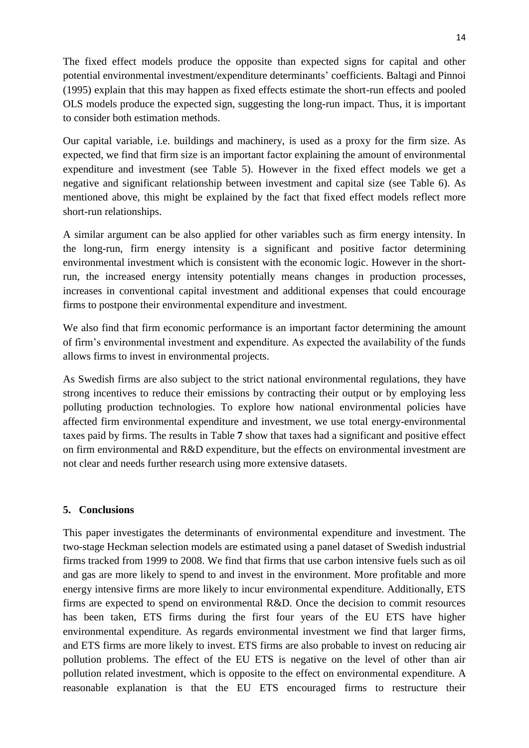The fixed effect models produce the opposite than expected signs for capital and other potential environmental investment/expenditure determinants' coefficients. [Baltagi and Pinnoi](#page-16-17)  [\(1995\)](#page-16-17) explain that this may happen as fixed effects estimate the short-run effects and pooled OLS models produce the expected sign, suggesting the long-run impact. Thus, it is important to consider both estimation methods.

Our capital variable, i.e. buildings and machinery, is used as a proxy for the firm size. As expected, we find that firm size is an important factor explaining the amount of environmental expenditure and investment (see [Table 5\)](#page-12-0). However in the fixed effect models we get a negative and significant relationship between investment and capital size (see [Table 6\)](#page-13-0). As mentioned above, this might be explained by the fact that fixed effect models reflect more short-run relationships.

A similar argument can be also applied for other variables such as firm energy intensity. In the long-run, firm energy intensity is a significant and positive factor determining environmental investment which is consistent with the economic logic. However in the shortrun, the increased energy intensity potentially means changes in production processes, increases in conventional capital investment and additional expenses that could encourage firms to postpone their environmental expenditure and investment.

We also find that firm economic performance is an important factor determining the amount of firm's environmental investment and expenditure. As expected the availability of the funds allows firms to invest in environmental projects.

As Swedish firms are also subject to the strict national environmental regulations, they have strong incentives to reduce their emissions by contracting their output or by employing less polluting production technologies. To explore how national environmental policies have affected firm environmental expenditure and investment, we use total energy-environmental taxes paid by firms. The results in [Table](#page-15-0) **7** show that taxes had a significant and positive effect on firm environmental and R&D expenditure, but the effects on environmental investment are not clear and needs further research using more extensive datasets.

## **5. Conclusions**

This paper investigates the determinants of environmental expenditure and investment. The two-stage Heckman selection models are estimated using a panel dataset of Swedish industrial firms tracked from 1999 to 2008. We find that firms that use carbon intensive fuels such as oil and gas are more likely to spend to and invest in the environment. More profitable and more energy intensive firms are more likely to incur environmental expenditure. Additionally, ETS firms are expected to spend on environmental R&D. Once the decision to commit resources has been taken, ETS firms during the first four years of the EU ETS have higher environmental expenditure. As regards environmental investment we find that larger firms, and ETS firms are more likely to invest. ETS firms are also probable to invest on reducing air pollution problems. The effect of the EU ETS is negative on the level of other than air pollution related investment, which is opposite to the effect on environmental expenditure. A reasonable explanation is that the EU ETS encouraged firms to restructure their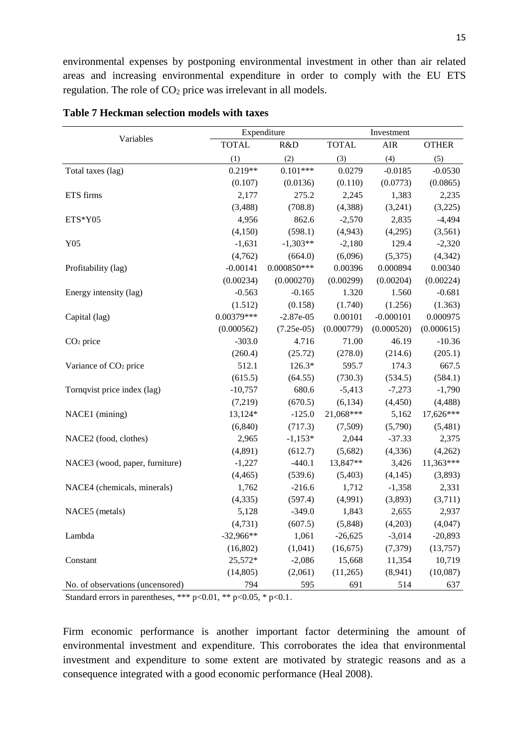|                                   |              | Expenditure   | Investment   |             |              |  |
|-----------------------------------|--------------|---------------|--------------|-------------|--------------|--|
| Variables                         | <b>TOTAL</b> | R&D           | <b>TOTAL</b> | <b>AIR</b>  | <b>OTHER</b> |  |
|                                   | (1)          | (2)           | (3)          | (4)         | (5)          |  |
| Total taxes (lag)                 | $0.219**$    | $0.101***$    | 0.0279       | $-0.0185$   | $-0.0530$    |  |
|                                   | (0.107)      | (0.0136)      | (0.110)      | (0.0773)    | (0.0865)     |  |
| ETS firms                         | 2,177        | 275.2         | 2,245        | 1,383       | 2,235        |  |
|                                   | (3, 488)     | (708.8)       | (4, 388)     | (3,241)     | (3,225)      |  |
| $ETS*Y05$                         | 4,956        | 862.6         | $-2,570$     | 2,835       | $-4,494$     |  |
|                                   | (4,150)      | (598.1)       | (4,943)      | (4,295)     | (3,561)      |  |
| Y05                               | $-1,631$     | $-1,303**$    | $-2,180$     | 129.4       | $-2,320$     |  |
|                                   | (4,762)      | (664.0)       | (6,096)      | (5,375)     | (4, 342)     |  |
| Profitability (lag)               | $-0.00141$   | $0.000850***$ | 0.00396      | 0.000894    | 0.00340      |  |
|                                   | (0.00234)    | (0.000270)    | (0.00299)    | (0.00204)   | (0.00224)    |  |
| Energy intensity (lag)            | $-0.563$     | $-0.165$      | 1.320        | 1.560       | $-0.681$     |  |
|                                   | (1.512)      | (0.158)       | (1.740)      | (1.256)     | (1.363)      |  |
| Capital (lag)                     | $0.00379***$ | $-2.87e-05$   | 0.00101      | $-0.000101$ | 0.000975     |  |
|                                   | (0.000562)   | $(7.25e-05)$  | (0.000779)   | (0.000520)  | (0.000615)   |  |
| CO <sub>2</sub> price             | $-303.0$     | 4.716         | 71.00        | 46.19       | $-10.36$     |  |
|                                   | (260.4)      | (25.72)       | (278.0)      | (214.6)     | (205.1)      |  |
| Variance of CO <sub>2</sub> price | 512.1        | 126.3*        | 595.7        | 174.3       | 667.5        |  |
|                                   | (615.5)      | (64.55)       | (730.3)      | (534.5)     | (584.1)      |  |
| Tornqvist price index (lag)       | $-10,757$    | 680.6         | $-5,413$     | $-7,273$    | $-1,790$     |  |
|                                   | (7,219)      | (670.5)       | (6, 134)     | (4, 450)    | (4, 488)     |  |
| NACE1 (mining)                    | 13,124*      | $-125.0$      | 21,068***    | 5,162       | 17,626***    |  |
|                                   | (6, 840)     | (717.3)       | (7,509)      | (5,790)     | (5,481)      |  |
| NACE2 (food, clothes)             | 2,965        | $-1,153*$     | 2,044        | $-37.33$    | 2,375        |  |
|                                   | (4,891)      | (612.7)       | (5,682)      | (4, 336)    | (4,262)      |  |
| NACE3 (wood, paper, furniture)    | $-1,227$     | $-440.1$      | 13,847**     | 3,426       | $11,363***$  |  |
|                                   | (4, 465)     | (539.6)       | (5,403)      | (4, 145)    | (3,893)      |  |
| NACE4 (chemicals, minerals)       | 1,762        | $-216.6$      | 1,712        | $-1,358$    | 2,331        |  |
|                                   | (4, 335)     | (597.4)       | (4,991)      | (3,893)     | (3,711)      |  |
| NACE5 (metals)                    | 5,128        | $-349.0$      | 1,843        | 2,655       | 2,937        |  |
|                                   | (4, 731)     | (607.5)       | (5,848)      | (4,203)     | (4,047)      |  |
| Lambda                            | $-32,966**$  | 1,061         | $-26,625$    | $-3,014$    | $-20,893$    |  |
|                                   | (16, 802)    | (1,041)       | (16, 675)    | (7, 379)    | (13,757)     |  |
| Constant                          | 25,572*      | $-2,086$      | 15,668       | 11,354      | 10,719       |  |
|                                   | (14, 805)    | (2,061)       | (11,265)     | (8,941)     | (10,087)     |  |
| No. of observations (uncensored)  | 794          | 595           | 691          | 514         | 637          |  |

<span id="page-15-0"></span>**Table 7 Heckman selection models with taxes**

Standard errors in parentheses, \*\*\*  $p<0.01$ , \*\*  $p<0.05$ , \*  $p<0.1$ .

Firm economic performance is another important factor determining the amount of environmental investment and expenditure. This corroborates the idea that environmental investment and expenditure to some extent are motivated by strategic reasons and as a consequence integrated with a good economic performance [\(Heal 2008\)](#page-16-7).